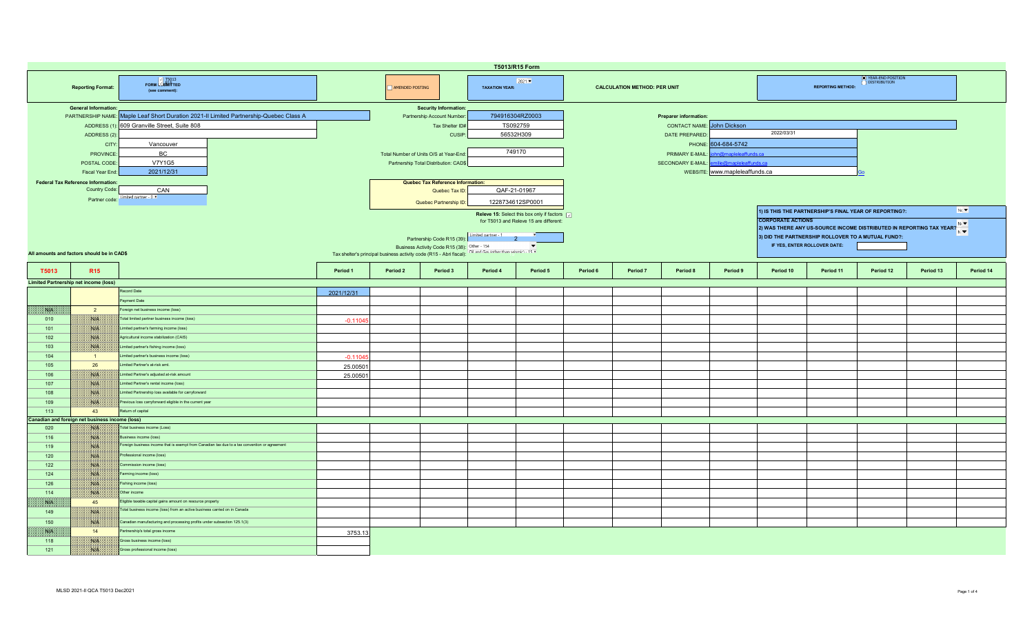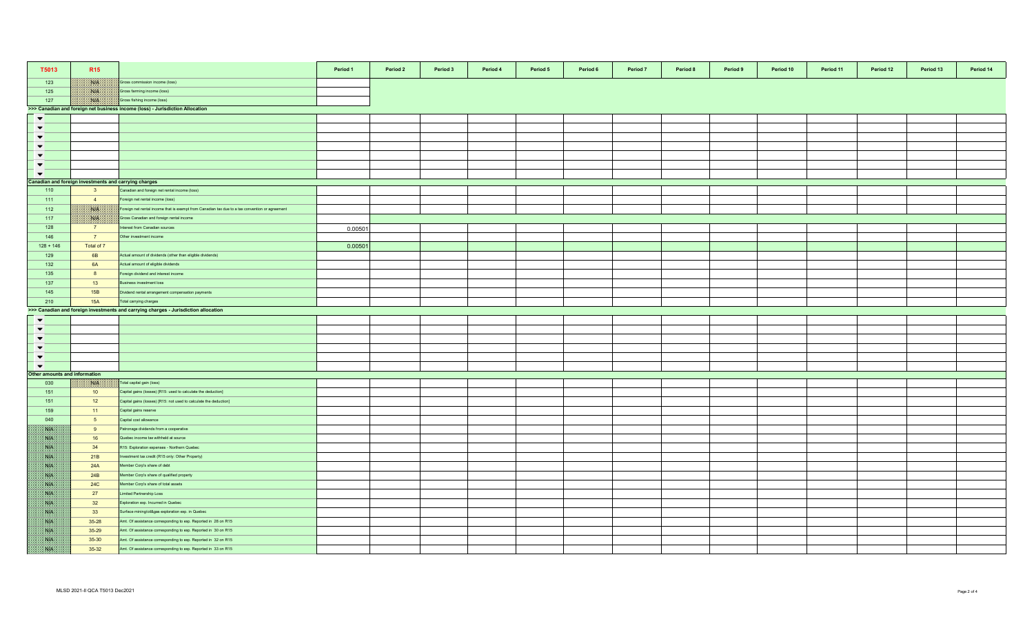| T5013                        | <b>R15</b>                                                                    |                                                                                                 | Period 1 | Period 2 | Period 3 | Period 4 | Period 5 | Period 6 | Period 7 | Period 8 | Period 9 | Period 10 | Period 11 | Period 12 | Period 13 | Period 14 |
|------------------------------|-------------------------------------------------------------------------------|-------------------------------------------------------------------------------------------------|----------|----------|----------|----------|----------|----------|----------|----------|----------|-----------|-----------|-----------|-----------|-----------|
| 123                          | <b>NGEN</b>                                                                   | Gross commission income (loss)                                                                  |          |          |          |          |          |          |          |          |          |           |           |           |           |           |
| 125                          | 1808.                                                                         | Gross farming income (loss)                                                                     |          |          |          |          |          |          |          |          |          |           |           |           |           |           |
| 127                          | NIA                                                                           | Gross fishing income (loss)                                                                     |          |          |          |          |          |          |          |          |          |           |           |           |           |           |
|                              | >>> Canadian and foreign net business income (loss) - Jurisdiction Allocation |                                                                                                 |          |          |          |          |          |          |          |          |          |           |           |           |           |           |
| $\blacktriangledown$         |                                                                               |                                                                                                 |          |          |          |          |          |          |          |          |          |           |           |           |           |           |
| $\blacktriangledown$         |                                                                               |                                                                                                 |          |          |          |          |          |          |          |          |          |           |           |           |           |           |
| $\blacktriangledown$         |                                                                               |                                                                                                 |          |          |          |          |          |          |          |          |          |           |           |           |           |           |
| $\blacktriangledown$         |                                                                               |                                                                                                 |          |          |          |          |          |          |          |          |          |           |           |           |           |           |
| $\blacktriangledown$         |                                                                               |                                                                                                 |          |          |          |          |          |          |          |          |          |           |           |           |           |           |
| $\blacktriangledown$         |                                                                               |                                                                                                 |          |          |          |          |          |          |          |          |          |           |           |           |           |           |
| $\blacktriangledown$         |                                                                               |                                                                                                 |          |          |          |          |          |          |          |          |          |           |           |           |           |           |
|                              | Canadian and foreign investments and carrying charges                         |                                                                                                 |          |          |          |          |          |          |          |          |          |           |           |           |           |           |
| 110                          | 3 <sup>5</sup>                                                                | Canadian and foreign net rental income (loss)                                                   |          |          |          |          |          |          |          |          |          |           |           |           |           |           |
| 111                          | $\overline{4}$                                                                | oreign net rental income (loss)                                                                 |          |          |          |          |          |          |          |          |          |           |           |           |           |           |
| 112                          | NB                                                                            | Foreign net rental income that is exempt from Canadian tax due to a tax convention or agreement |          |          |          |          |          |          |          |          |          |           |           |           |           |           |
| 117                          | ma.                                                                           | Gross Canadian and foreign rental income                                                        |          |          |          |          |          |          |          |          |          |           |           |           |           |           |
|                              |                                                                               |                                                                                                 |          |          |          |          |          |          |          |          |          |           |           |           |           |           |
| 128                          | 7                                                                             | nterest from Canadian sources                                                                   | 0.00501  |          |          |          |          |          |          |          |          |           |           |           |           |           |
| 146                          | $\overline{7}$                                                                | Other investment income                                                                         |          |          |          |          |          |          |          |          |          |           |           |           |           |           |
| $128 + 146$                  | Total of 7                                                                    |                                                                                                 | 0.00501  |          |          |          |          |          |          |          |          |           |           |           |           |           |
| 129                          | 6B                                                                            | Actual amount of dividends (other than eligible dividends)                                      |          |          |          |          |          |          |          |          |          |           |           |           |           |           |
| 132                          | 6A                                                                            | Actual amount of eligible dividends                                                             |          |          |          |          |          |          |          |          |          |           |           |           |           |           |
| 135                          | 8                                                                             | oreign dividend and interest income                                                             |          |          |          |          |          |          |          |          |          |           |           |           |           |           |
| 137                          | 13                                                                            | Business investment loss                                                                        |          |          |          |          |          |          |          |          |          |           |           |           |           |           |
| 145                          | 15B                                                                           | Dividend rental arrangement compensation payments                                               |          |          |          |          |          |          |          |          |          |           |           |           |           |           |
| 210                          | <b>15A</b>                                                                    | Total carrying charges                                                                          |          |          |          |          |          |          |          |          |          |           |           |           |           |           |
|                              |                                                                               | >>> Canadian and foreign investments and carrying charges - Jurisdiction allocation             |          |          |          |          |          |          |          |          |          |           |           |           |           |           |
| $\blacktriangledown$         |                                                                               |                                                                                                 |          |          |          |          |          |          |          |          |          |           |           |           |           |           |
| $\blacktriangledown$         |                                                                               |                                                                                                 |          |          |          |          |          |          |          |          |          |           |           |           |           |           |
| $\blacktriangledown$         |                                                                               |                                                                                                 |          |          |          |          |          |          |          |          |          |           |           |           |           |           |
| $\blacktriangledown$         |                                                                               |                                                                                                 |          |          |          |          |          |          |          |          |          |           |           |           |           |           |
| $\blacktriangledown$         |                                                                               |                                                                                                 |          |          |          |          |          |          |          |          |          |           |           |           |           |           |
| $\blacktriangledown$         |                                                                               |                                                                                                 |          |          |          |          |          |          |          |          |          |           |           |           |           |           |
| ther amounts and information |                                                                               |                                                                                                 |          |          |          |          |          |          |          |          |          |           |           |           |           |           |
| 030                          | XVIX.                                                                         | Total capital gain (loss)                                                                       |          |          |          |          |          |          |          |          |          |           |           |           |           |           |
| 151                          | 10                                                                            | Capital gains (losses) [R15: used to calculate the deduction]                                   |          |          |          |          |          |          |          |          |          |           |           |           |           |           |
| 151                          | 12                                                                            | Capital gains (losses) [R15: not used to calculate the deduction]                               |          |          |          |          |          |          |          |          |          |           |           |           |           |           |
| 159                          | 11                                                                            | Capital gains reserve                                                                           |          |          |          |          |          |          |          |          |          |           |           |           |           |           |
| 040                          | 5 <sub>5</sub>                                                                | Capital cost allowance                                                                          |          |          |          |          |          |          |          |          |          |           |           |           |           |           |
| SVN.                         | 9                                                                             | atronage dividends from a cooperative                                                           |          |          |          |          |          |          |          |          |          |           |           |           |           |           |
| SSB.                         | 16                                                                            | Quebec income tax withheld at source                                                            |          |          |          |          |          |          |          |          |          |           |           |           |           |           |
| ma                           | 34                                                                            | R15: Exploration expenses - Northern Quebec                                                     |          |          |          |          |          |          |          |          |          |           |           |           |           |           |
| 38.14                        | 21B                                                                           | nvestment tax credit (R15 only: Other Property)                                                 |          |          |          |          |          |          |          |          |          |           |           |           |           |           |
| <b>SAFE</b>                  | 24A                                                                           | Member Corp's share of debt                                                                     |          |          |          |          |          |          |          |          |          |           |           |           |           |           |
| S.B                          | 24B                                                                           | Member Corp's share of qualified property                                                       |          |          |          |          |          |          |          |          |          |           |           |           |           |           |
| <b>SALE</b>                  | <b>24C</b>                                                                    | Member Corp's share of total assets                                                             |          |          |          |          |          |          |          |          |          |           |           |           |           |           |
| <b>Site</b>                  | 27                                                                            | imited Partnership Loss                                                                         |          |          |          |          |          |          |          |          |          |           |           |           |           |           |
| SVN.                         | 32                                                                            | Exploration exp. Incurred in Quebec                                                             |          |          |          |          |          |          |          |          |          |           |           |           |           |           |
| NP.                          | 33                                                                            |                                                                                                 |          |          |          |          |          |          |          |          |          |           |           |           |           |           |
|                              |                                                                               | Surface mining/oil&gas exploration exp. in Quebec                                               |          |          |          |          |          |          |          |          |          |           |           |           |           |           |
| NB.                          | $35 - 28$                                                                     | Amt. Of assistance corresponding to exp. Reported in 28 on R15                                  |          |          |          |          |          |          |          |          |          |           |           |           |           |           |
| Nik                          | 35-29                                                                         | Amt. Of assistance corresponding to exp. Reported in 30 on R15                                  |          |          |          |          |          |          |          |          |          |           |           |           |           |           |
| ma                           | 35-30                                                                         | Amt. Of assistance corresponding to exp. Reported in 32 on R15                                  |          |          |          |          |          |          |          |          |          |           |           |           |           |           |
| SS                           | 35-32                                                                         | Amt. Of assistance corresponding to exp. Reported in 33 on R15                                  |          |          |          |          |          |          |          |          |          |           |           |           |           |           |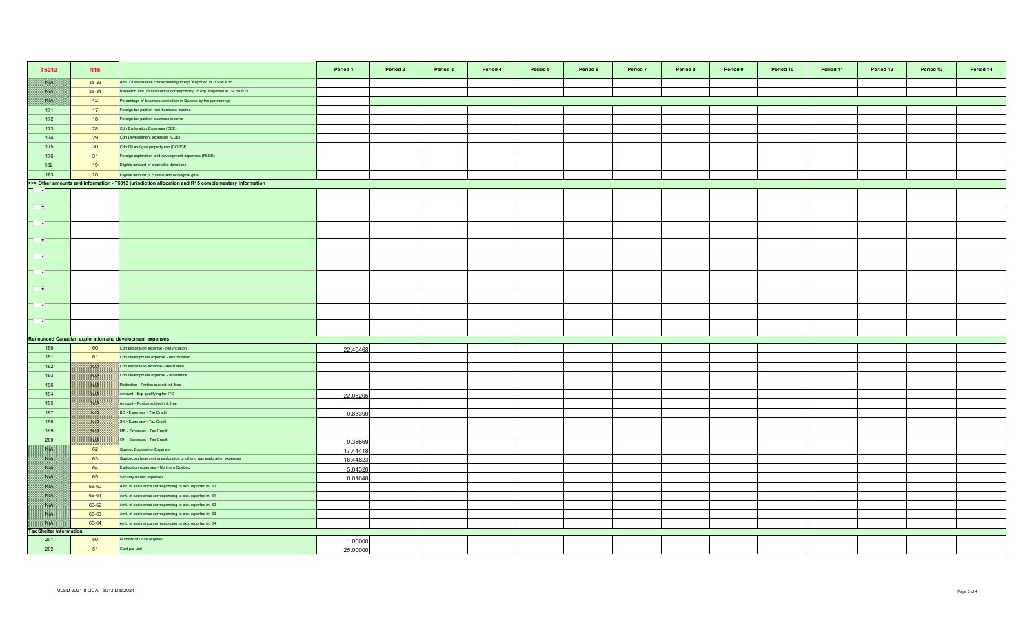| T5013                                | R <sub>15</sub> |                                                                                                     | Period 1 | Period 2 | Period 3 | Period 4 | Period 5 | Period 6 | Period 7 | Period 8 | Period 9 | Period 10 | Period 11 | Period 12 | Period 13 | Period 14 |
|--------------------------------------|-----------------|-----------------------------------------------------------------------------------------------------|----------|----------|----------|----------|----------|----------|----------|----------|----------|-----------|-----------|-----------|-----------|-----------|
| <b>SOF</b>                           | $35-33$         | Amt. Of assistance corresponding to exp. Reported in 33 on R15                                      |          |          |          |          |          |          |          |          |          |           |           |           |           |           |
| W                                    | 35-34           | Research amt. of assistance corresponding to exp. Reported in 34 on R15                             |          |          |          |          |          |          |          |          |          |           |           |           |           |           |
| RN BI                                | 42              | Percentage of business carried on in Quebec by the partnership                                      |          |          |          |          |          |          |          |          |          |           |           |           |           |           |
| 171                                  | 17              | Foreign tax paid on non-business income                                                             |          |          |          |          |          |          |          |          |          |           |           |           |           |           |
| 172                                  | 18              | Foreign tax paid on business income                                                                 |          |          |          |          |          |          |          |          |          |           |           |           |           |           |
| 173                                  | 28              | Cdn Exploration Expenses (CEE)                                                                      |          |          |          |          |          |          |          |          |          |           |           |           |           |           |
| 174                                  | 29              | Cdn Development expenses (CDE)                                                                      |          |          |          |          |          |          |          |          |          |           |           |           |           |           |
| 175                                  | 30 <sup>°</sup> | Cdn Oil and gas property exp (COPGE)                                                                |          |          |          |          |          |          |          |          |          |           |           |           |           |           |
| 176                                  | 31              | Foreign exploration and development expenses (FEDE)                                                 |          |          |          |          |          |          |          |          |          |           |           |           |           |           |
| 182                                  | 19              | Eligible amount of charitable donations                                                             |          |          |          |          |          |          |          |          |          |           |           |           |           |           |
| 183                                  | 20              | Eligible amount of cultural and ecological gifts                                                    |          |          |          |          |          |          |          |          |          |           |           |           |           |           |
|                                      |                 | >>> Other amounts and information - T5013 jurisdiction allocation and R15 complementary information |          |          |          |          |          |          |          |          |          |           |           |           |           |           |
| $\overline{\phantom{a}}$             |                 |                                                                                                     |          |          |          |          |          |          |          |          |          |           |           |           |           |           |
| $\overline{\phantom{a}}$             |                 |                                                                                                     |          |          |          |          |          |          |          |          |          |           |           |           |           |           |
| $\rightarrow$                        |                 |                                                                                                     |          |          |          |          |          |          |          |          |          |           |           |           |           |           |
| <b>TEMP</b>                          |                 |                                                                                                     |          |          |          |          |          |          |          |          |          |           |           |           |           |           |
| $\mathbf{r}$                         |                 |                                                                                                     |          |          |          |          |          |          |          |          |          |           |           |           |           |           |
| <b>P</b>                             |                 |                                                                                                     |          |          |          |          |          |          |          |          |          |           |           |           |           |           |
| - 10                                 |                 |                                                                                                     |          |          |          |          |          |          |          |          |          |           |           |           |           |           |
|                                      |                 |                                                                                                     |          |          |          |          |          |          |          |          |          |           |           |           |           |           |
| $\sim$                               |                 |                                                                                                     |          |          |          |          |          |          |          |          |          |           |           |           |           |           |
| <b>PART</b>                          |                 |                                                                                                     |          |          |          |          |          |          |          |          |          |           |           |           |           |           |
|                                      |                 | <b>Renounced Canadian exploration and development expenses</b>                                      |          |          |          |          |          |          |          |          |          |           |           |           |           |           |
| 190                                  | 60              | Cdn exploration expense - renunciation                                                              | 22.40468 |          |          |          |          |          |          |          |          |           |           |           |           |           |
| 191                                  | 61              | Cdn development expense - renunciation                                                              |          |          |          |          |          |          |          |          |          |           |           |           |           |           |
| 192                                  | <b>BULLE</b>    | Cdn exploration expense - assistance                                                                |          |          |          |          |          |          |          |          |          |           |           |           |           |           |
| 193                                  | NG              | Cdn development expense - assistance                                                                |          |          |          |          |          |          |          |          |          |           |           |           |           |           |
| 196                                  | <b>NIK</b>      | Reduction - Portion subject int. free                                                               |          |          |          |          |          |          |          |          |          |           |           |           |           |           |
| 194                                  | <b>MALES</b>    | Amount - Exp qualifying for ITC                                                                     | 22.08205 |          |          |          |          |          |          |          |          |           |           |           |           |           |
| 195                                  | WIN             | Amount - Portion subject int. free                                                                  |          |          |          |          |          |          |          |          |          |           |           |           |           |           |
| 197                                  | NIA             | BC - Expenses - Tax Credit                                                                          | 0.83390  |          |          |          |          |          |          |          |          |           |           |           |           |           |
| 198                                  | NA              | SK - Expenses - Tax Credit                                                                          |          |          |          |          |          |          |          |          |          |           |           |           |           |           |
| 199                                  | NG PA           | MB - Expenses - Tax Credit                                                                          |          |          |          |          |          |          |          |          |          |           |           |           |           |           |
| 200                                  | 1830er          | ON - Expenses - Tax Credit                                                                          | 0.38669  |          |          |          |          |          |          |          |          |           |           |           |           |           |
| WE                                   | 62              | Quebec Exploration Expense                                                                          | 17.44418 |          |          |          |          |          |          |          |          |           |           |           |           |           |
| <b>SOF</b>                           | 63              | Quebec surface mining exploration or oil and gas exploration expenses                               | 16.44823 |          |          |          |          |          |          |          |          |           |           |           |           |           |
| <b>SATIS</b>                         | 64              | Exploration expenses - Northern Quebec                                                              | 5.04320  |          |          |          |          |          |          |          |          |           |           |           |           |           |
| NB                                   | 65              | Security issues expenses                                                                            | 0.01648  |          |          |          |          |          |          |          |          |           |           |           |           |           |
| NK                                   | 66-60           | Amt. of assistance corresponding to exp. reported in 60                                             |          |          |          |          |          |          |          |          |          |           |           |           |           |           |
| <b>ANTES</b>                         | 66-61           | Amt. of assistance corresponding to exp. reported in 61                                             |          |          |          |          |          |          |          |          |          |           |           |           |           |           |
| NK                                   | 66-62           | Amt. of assistance corresponding to exp. reported in 62                                             |          |          |          |          |          |          |          |          |          |           |           |           |           |           |
| NB                                   | 66-63           | Amt. of assistance corresponding to exp. reported in 63                                             |          |          |          |          |          |          |          |          |          |           |           |           |           |           |
| WE<br><b>Tax Shelter Information</b> | 66-64           | Amt. of assistance corresponding to exp. reported in 64                                             |          |          |          |          |          |          |          |          |          |           |           |           |           |           |
| 201                                  | 50              | Number of units acquired                                                                            | 1.00000  |          |          |          |          |          |          |          |          |           |           |           |           |           |
| 202                                  | 51              | Cost per unit                                                                                       | 25.00000 |          |          |          |          |          |          |          |          |           |           |           |           |           |
|                                      |                 |                                                                                                     |          |          |          |          |          |          |          |          |          |           |           |           |           |           |